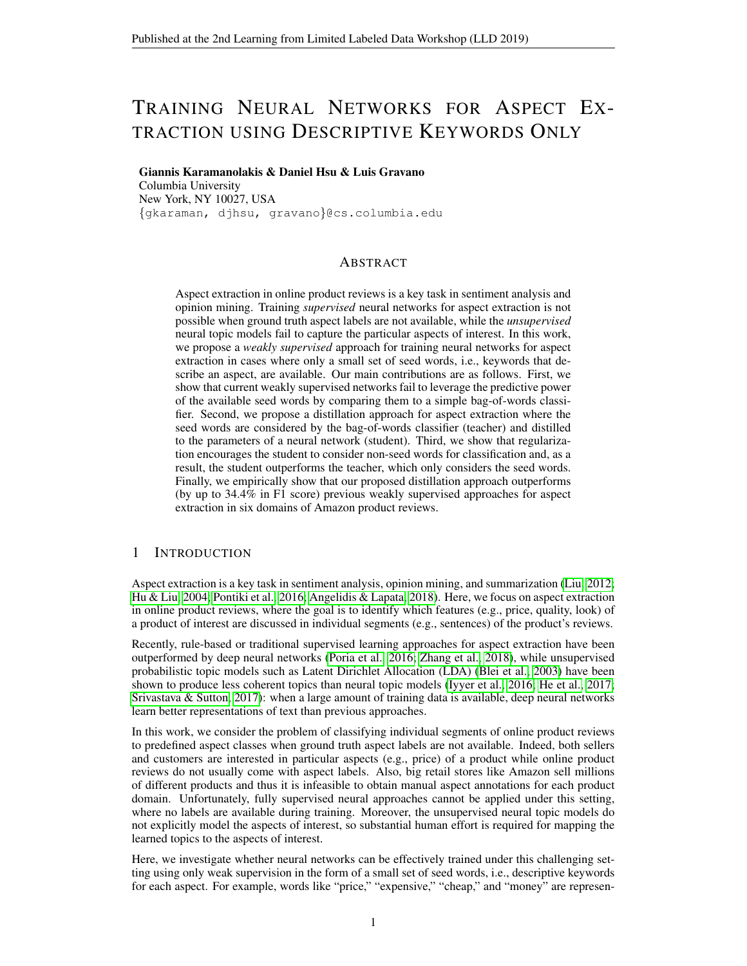# TRAINING NEURAL NETWORKS FOR ASPECT EX-TRACTION USING DESCRIPTIVE KEYWORDS ONLY

Giannis Karamanolakis & Daniel Hsu & Luis Gravano Columbia University New York, NY 10027, USA {gkaraman, djhsu, gravano}@cs.columbia.edu

## ABSTRACT

Aspect extraction in online product reviews is a key task in sentiment analysis and opinion mining. Training *supervised* neural networks for aspect extraction is not possible when ground truth aspect labels are not available, while the *unsupervised* neural topic models fail to capture the particular aspects of interest. In this work, we propose a *weakly supervised* approach for training neural networks for aspect extraction in cases where only a small set of seed words, i.e., keywords that describe an aspect, are available. Our main contributions are as follows. First, we show that current weakly supervised networks fail to leverage the predictive power of the available seed words by comparing them to a simple bag-of-words classifier. Second, we propose a distillation approach for aspect extraction where the seed words are considered by the bag-of-words classifier (teacher) and distilled to the parameters of a neural network (student). Third, we show that regularization encourages the student to consider non-seed words for classification and, as a result, the student outperforms the teacher, which only considers the seed words. Finally, we empirically show that our proposed distillation approach outperforms (by up to 34.4% in F1 score) previous weakly supervised approaches for aspect extraction in six domains of Amazon product reviews.

## 1 INTRODUCTION

Aspect extraction is a key task in sentiment analysis, opinion mining, and summarization [\(Liu, 2012;](#page-4-0) [Hu & Liu, 2004;](#page-4-1) [Pontiki et al., 2016;](#page-4-2) [Angelidis & Lapata, 2018\)](#page-4-3). Here, we focus on aspect extraction in online product reviews, where the goal is to identify which features (e.g., price, quality, look) of a product of interest are discussed in individual segments (e.g., sentences) of the product's reviews.

Recently, rule-based or traditional supervised learning approaches for aspect extraction have been outperformed by deep neural networks [\(Poria et al., 2016;](#page-4-4) [Zhang et al., 2018\)](#page-5-0), while unsupervised probabilistic topic models such as Latent Dirichlet Allocation (LDA) [\(Blei et al., 2003\)](#page-4-5) have been shown to produce less coherent topics than neural topic models [\(Iyyer et al., 2016;](#page-4-6) [He et al., 2017;](#page-4-7) [Srivastava & Sutton, 2017\)](#page-4-8): when a large amount of training data is available, deep neural networks learn better representations of text than previous approaches.

In this work, we consider the problem of classifying individual segments of online product reviews to predefined aspect classes when ground truth aspect labels are not available. Indeed, both sellers and customers are interested in particular aspects (e.g., price) of a product while online product reviews do not usually come with aspect labels. Also, big retail stores like Amazon sell millions of different products and thus it is infeasible to obtain manual aspect annotations for each product domain. Unfortunately, fully supervised neural approaches cannot be applied under this setting, where no labels are available during training. Moreover, the unsupervised neural topic models do not explicitly model the aspects of interest, so substantial human effort is required for mapping the learned topics to the aspects of interest.

Here, we investigate whether neural networks can be effectively trained under this challenging setting using only weak supervision in the form of a small set of seed words, i.e., descriptive keywords for each aspect. For example, words like "price," "expensive," "cheap," and "money" are represen-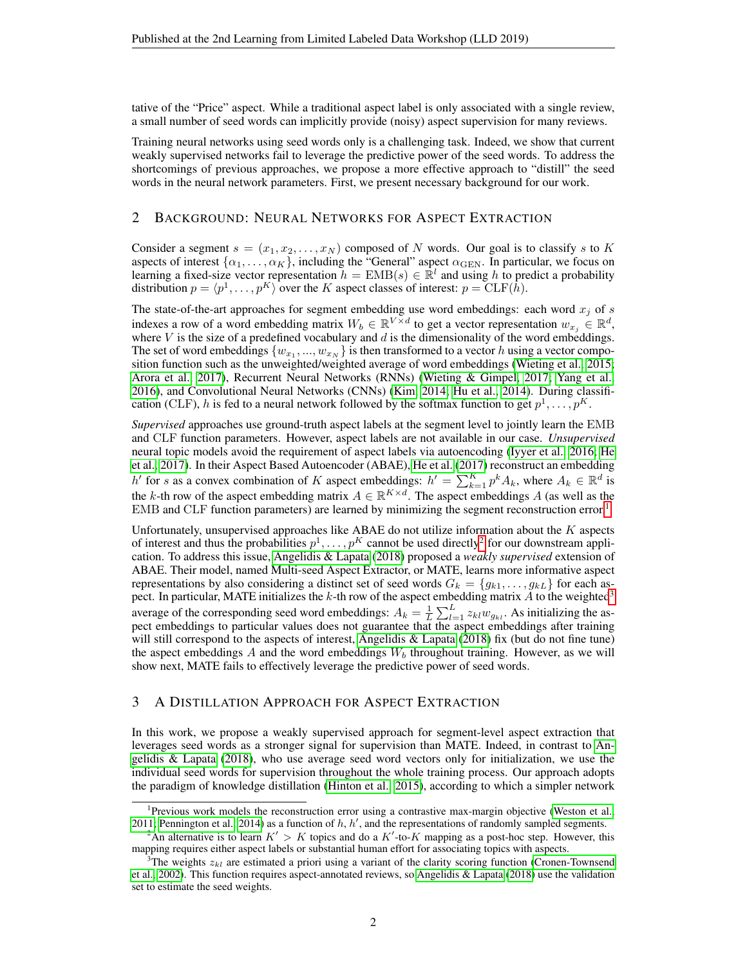tative of the "Price" aspect. While a traditional aspect label is only associated with a single review, a small number of seed words can implicitly provide (noisy) aspect supervision for many reviews.

Training neural networks using seed words only is a challenging task. Indeed, we show that current weakly supervised networks fail to leverage the predictive power of the seed words. To address the shortcomings of previous approaches, we propose a more effective approach to "distill" the seed words in the neural network parameters. First, we present necessary background for our work.

## 2 BACKGROUND: NEURAL NETWORKS FOR ASPECT EXTRACTION

Consider a segment  $s = (x_1, x_2, \dots, x_N)$  composed of N words. Our goal is to classify s to K aspects of interest  $\{\alpha_1, \dots, \alpha_K\}$ , including the "General" aspect  $\alpha_{\text{GEN}}$ . In particular, we focus on learning a fixed-size vector representation  $\tilde{h} = \text{EMB}(s) \in \mathbb{R}^l$  and using h to predict a probability distribution  $p = \langle p^1, \ldots, p^K \rangle$  over the K aspect classes of interest:  $p = \text{CLF}(h)$ .

The state-of-the-art approaches for segment embedding use word embeddings: each word  $x_j$  of s indexes a row of a word embedding matrix  $W_b \in \mathbb{R}^{V \times d}$  to get a vector representation  $w_{x_j} \in \mathbb{R}^d$ , where V is the size of a predefined vocabulary and  $d$  is the dimensionality of the word embeddings. The set of word embeddings  $\{w_{x_1},...,w_{x_N}\}$  is then transformed to a vector h using a vector composition function such as the unweighted/weighted average of word embeddings [\(Wieting et al., 2015;](#page-5-1) [Arora et al., 2017\)](#page-4-9), Recurrent Neural Networks (RNNs) [\(Wieting & Gimpel, 2017;](#page-5-2) [Yang et al.,](#page-5-3) [2016\)](#page-5-3), and Convolutional Neural Networks (CNNs) [\(Kim, 2014;](#page-4-10) [Hu et al., 2014\)](#page-4-11). During classification (CLF), h is fed to a neural network followed by the softmax function to get  $p^1, \ldots, p^K$ .

*Supervised* approaches use ground-truth aspect labels at the segment level to jointly learn the EMB and CLF function parameters. However, aspect labels are not available in our case. *Unsupervised* neural topic models avoid the requirement of aspect labels via autoencoding [\(Iyyer et al., 2016;](#page-4-6) [He](#page-4-7) [et al., 2017\)](#page-4-7). In their Aspect Based Autoencoder (ABAE), [He et al.](#page-4-7) [\(2017\)](#page-4-7) reconstruct an embedding h' for s as a convex combination of K aspect embeddings:  $h' = \sum_{k=1}^{K} p^k A_k$ , where  $A_k \in \mathbb{R}^d$  is the k-th row of the aspect embedding matrix  $A \in \mathbb{R}^{K \times d}$ . The aspect embeddings A (as well as the EMB and CLF function parameters) are learned by minimizing the segment reconstruction error.<sup>[1](#page-1-0)</sup>

Unfortunately, unsupervised approaches like ABAE do not utilize information about the  $K$  aspects of interest and thus the probabilities  $p^1, \ldots, p^K$  cannot be used directly<sup>[2](#page-1-1)</sup> for our downstream application. To address this issue, [Angelidis & Lapata](#page-4-3) [\(2018\)](#page-4-3) proposed a *weakly supervised* extension of ABAE. Their model, named Multi-seed Aspect Extractor, or MATE, learns more informative aspect representations by also considering a distinct set of seed words  $G_k = \{g_{k1}, \ldots, g_{kL}\}\$  for each aspect. In particular, MATE initializes the  $k$ -th row of the aspect embedding matrix  $A$  to the weighted<sup>[3](#page-1-2)</sup> average of the corresponding seed word embeddings:  $A_k = \frac{1}{L} \sum_{l=1}^{L} z_{kl} w_{g_{kl}}$ . As initializing the aspect embeddings to particular values does not guarantee that the aspect embeddings after training will still correspond to the aspects of interest, [Angelidis & Lapata](#page-4-3) [\(2018\)](#page-4-3) fix (but do not fine tune) the aspect embeddings A and the word embeddings  $W<sub>b</sub>$  throughout training. However, as we will show next, MATE fails to effectively leverage the predictive power of seed words.

## 3 A DISTILLATION APPROACH FOR ASPECT EXTRACTION

In this work, we propose a weakly supervised approach for segment-level aspect extraction that leverages seed words as a stronger signal for supervision than MATE. Indeed, in contrast to [An](#page-4-3)[gelidis & Lapata](#page-4-3) [\(2018\)](#page-4-3), who use average seed word vectors only for initialization, we use the individual seed words for supervision throughout the whole training process. Our approach adopts the paradigm of knowledge distillation [\(Hinton et al., 2015\)](#page-4-12), according to which a simpler network

<span id="page-1-0"></span><sup>&</sup>lt;sup>1</sup>Previous work models the reconstruction error using a contrastive max-margin objective [\(Weston et al.,](#page-5-4) [2011;](#page-5-4) [Pennington et al., 2014\)](#page-4-13) as a function of  $h$ ,  $h'$ , and the representations of randomly sampled segments.

<span id="page-1-1"></span><sup>&</sup>lt;sup>2</sup>An alternative is to learn  $K' > K$  topics and do a  $K'$ -to-K mapping as a post-hoc step. However, this mapping requires either aspect labels or substantial human effort for associating topics with aspects.

<span id="page-1-2"></span><sup>&</sup>lt;sup>3</sup>The weights  $z_{kl}$  are estimated a priori using a variant of the clarity scoring function [\(Cronen-Townsend](#page-4-14) [et al., 2002\)](#page-4-14). This function requires aspect-annotated reviews, so [Angelidis & Lapata](#page-4-3) [\(2018\)](#page-4-3) use the validation set to estimate the seed weights.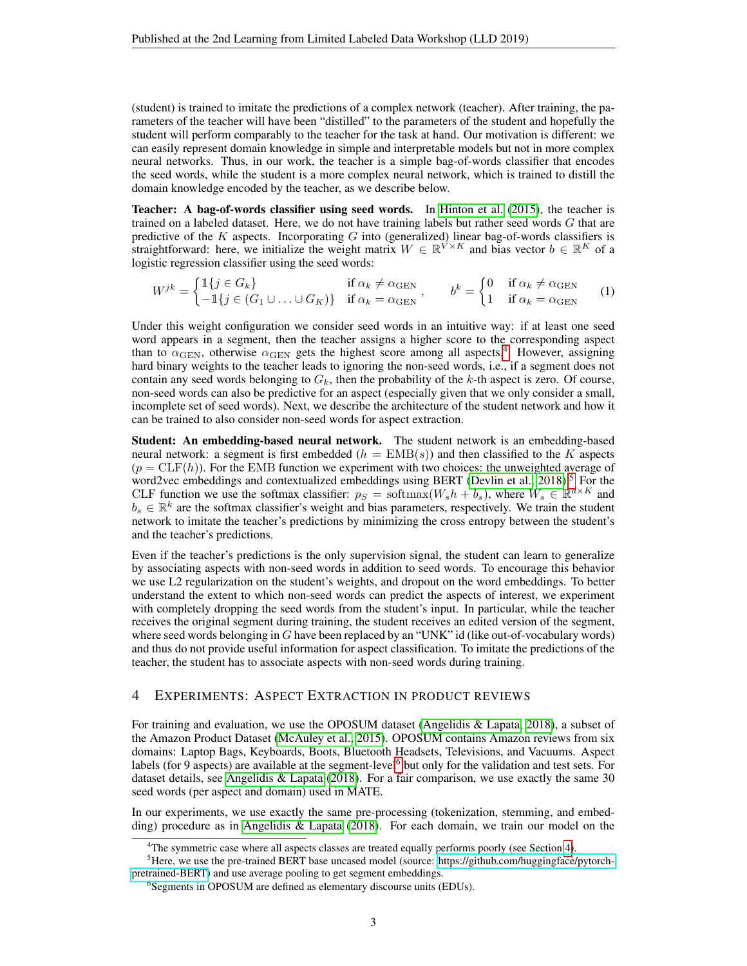(student) is trained to imitate the predictions of a complex network (teacher). After training, the parameters of the teacher will have been "distilled" to the parameters of the student and hopefully the student will perform comparably to the teacher for the task at hand. Our motivation is different: we can easily represent domain knowledge in simple and interpretable models but not in more complex neural networks. Thus, in our work, the teacher is a simple bag-of-words classifier that encodes the seed words, while the student is a more complex neural network, which is trained to distill the domain knowledge encoded by the teacher, as we describe below.

Teacher: A bag-of-words classifier using seed words. In [Hinton et al.](#page-4-12) [\(2015\)](#page-4-12), the teacher is trained on a labeled dataset. Here, we do not have training labels but rather seed words G that are predictive of the  $K$  aspects. Incorporating  $G$  into (generalized) linear bag-of-words classifiers is straightforward: here, we initialize the weight matrix  $W \in \mathbb{R}^{\hat{V} \times K}$  and bias vector  $b \in \mathbb{R}^K$  of a logistic regression classifier using the seed words:

<span id="page-2-4"></span>
$$
W^{jk} = \begin{cases} \mathbb{1}\{j \in G_k\} & \text{if } \alpha_k \neq \alpha_{\text{GEN}} \\ -\mathbb{1}\{j \in (G_1 \cup \ldots \cup G_K)\} & \text{if } \alpha_k = \alpha_{\text{GEN}} \end{cases}, \qquad b^k = \begin{cases} 0 & \text{if } \alpha_k \neq \alpha_{\text{GEN}} \\ 1 & \text{if } \alpha_k = \alpha_{\text{GEN}} \end{cases} \tag{1}
$$

Under this weight configuration we consider seed words in an intuitive way: if at least one seed word appears in a segment, then the teacher assigns a higher score to the corresponding aspect than to  $\alpha_{\rm GEN}$ , otherwise  $\alpha_{\rm GEN}$  gets the highest score among all aspects.<sup>[4](#page-2-0)</sup> However, assigning hard binary weights to the teacher leads to ignoring the non-seed words, i.e., if a segment does not contain any seed words belonging to  $G_k$ , then the probability of the k-th aspect is zero. Of course, non-seed words can also be predictive for an aspect (especially given that we only consider a small, incomplete set of seed words). Next, we describe the architecture of the student network and how it can be trained to also consider non-seed words for aspect extraction.

Student: An embedding-based neural network. The student network is an embedding-based neural network: a segment is first embedded  $(h = EMB(s))$  and then classified to the K aspects  $(p = CLF(h))$ . For the EMB function we experiment with two choices: the unweighted average of word2vec embeddings and contextualized embeddings using BERT (Devlin et al.,  $2018$ ).<sup>[5](#page-2-1)</sup> For the CLF function we use the softmax classifier:  $p_S = \text{softmax}(W_s h + b_s)$ , where  $W_s \in \mathbb{R}^{d \times K}$  and  $b_s \in \mathbb{R}^k$  are the softmax classifier's weight and bias parameters, respectively. We train the student network to imitate the teacher's predictions by minimizing the cross entropy between the student's and the teacher's predictions.

Even if the teacher's predictions is the only supervision signal, the student can learn to generalize by associating aspects with non-seed words in addition to seed words. To encourage this behavior we use L2 regularization on the student's weights, and dropout on the word embeddings. To better understand the extent to which non-seed words can predict the aspects of interest, we experiment with completely dropping the seed words from the student's input. In particular, while the teacher receives the original segment during training, the student receives an edited version of the segment, where seed words belonging in  $G$  have been replaced by an "UNK" id (like out-of-vocabulary words) and thus do not provide useful information for aspect classification. To imitate the predictions of the teacher, the student has to associate aspects with non-seed words during training.

#### <span id="page-2-3"></span>4 EXPERIMENTS: ASPECT EXTRACTION IN PRODUCT REVIEWS

For training and evaluation, we use the OPOSUM dataset [\(Angelidis & Lapata, 2018\)](#page-4-3), a subset of the Amazon Product Dataset [\(McAuley et al., 2015\)](#page-4-16). OPOSUM contains Amazon reviews from six domains: Laptop Bags, Keyboards, Boots, Bluetooth Headsets, Televisions, and Vacuums. Aspect labels (for 9 aspects) are available at the segment-level<sup>[6](#page-2-2)</sup> but only for the validation and test sets. For dataset details, see [Angelidis & Lapata](#page-4-3) [\(2018\)](#page-4-3). For a fair comparison, we use exactly the same 30 seed words (per aspect and domain) used in MATE.

In our experiments, we use exactly the same pre-processing (tokenization, stemming, and embedding) procedure as in [Angelidis & Lapata](#page-4-3) [\(2018\)](#page-4-3). For each domain, we train our model on the

<span id="page-2-1"></span><span id="page-2-0"></span><sup>&</sup>lt;sup>4</sup>The symmetric case where all aspects classes are treated equally performs poorly (see Section [4\)](#page-2-3).

<sup>5</sup>Here, we use the pre-trained BERT base uncased model (source: [https://github.com/huggingface/pytorch](https://github.com/huggingface/pytorch-pretrained-BERT)[pretrained-BERT\)](https://github.com/huggingface/pytorch-pretrained-BERT) and use average pooling to get segment embeddings.

<span id="page-2-2"></span><sup>6</sup> Segments in OPOSUM are defined as elementary discourse units (EDUs).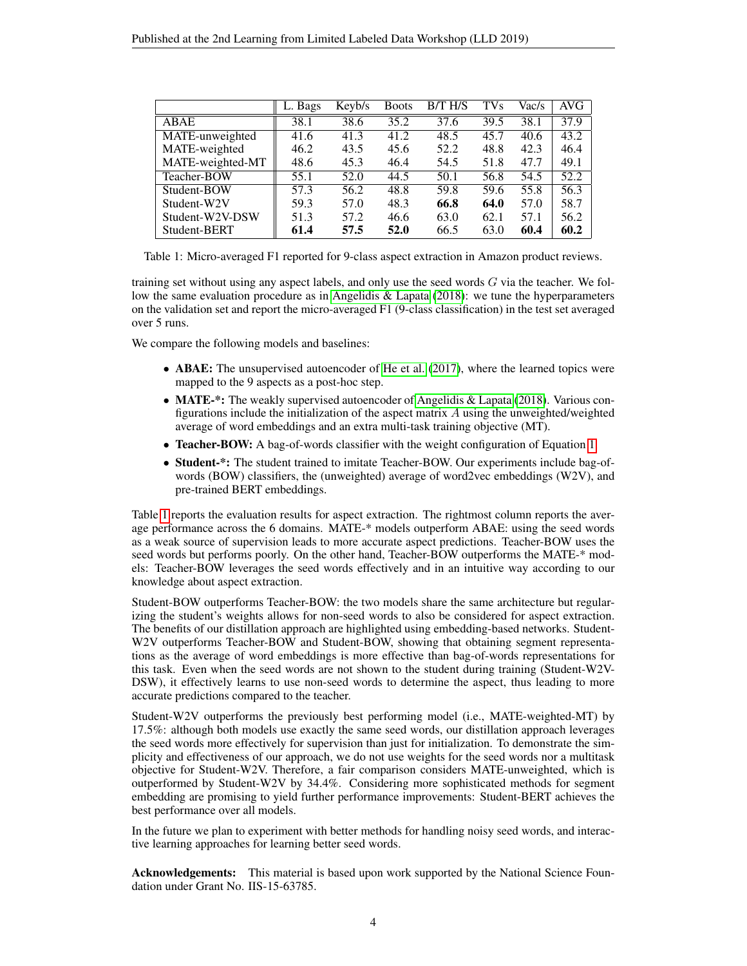<span id="page-3-0"></span>

|                  | $\overline{L}$ . Bags | Keyb/s | <b>Boots</b> | B/T H/S | <b>TVs</b> | Vac/s | AVG  |
|------------------|-----------------------|--------|--------------|---------|------------|-------|------|
| ABAE             | 38.1                  | 38.6   | 35.2         | 37.6    | 39.5       | 38.1  | 37.9 |
| MATE-unweighted  | 41.6                  | 41.3   | 41.2         | 48.5    | 45.7       | 40.6  | 43.2 |
| MATE-weighted    | 46.2                  | 43.5   | 45.6         | 52.2    | 48.8       | 42.3  | 46.4 |
| MATE-weighted-MT | 48.6                  | 45.3   | 46.4         | 54.5    | 51.8       | 47.7  | 49.1 |
| Teacher-BOW      | 55.1                  | 52.0   | 44.5         | 50.1    | 56.8       | 54.5  | 52.2 |
| Student-BOW      | 57.3                  | 56.2   | 48.8         | 59.8    | 59.6       | 55.8  | 56.3 |
| Student-W2V      | 59.3                  | 57.0   | 48.3         | 66.8    | 64.0       | 57.0  | 58.7 |
| Student-W2V-DSW  | 51.3                  | 57.2   | 46.6         | 63.0    | 62.1       | 57.1  | 56.2 |
| Student-BERT     | 61.4                  | 57.5   | 52.0         | 66.5    | 63.0       | 60.4  | 60.2 |

Table 1: Micro-averaged F1 reported for 9-class aspect extraction in Amazon product reviews.

training set without using any aspect labels, and only use the seed words  $G$  via the teacher. We follow the same evaluation procedure as in Angelidis  $&$  Lapata [\(2018\)](#page-4-3): we tune the hyperparameters on the validation set and report the micro-averaged F1 (9-class classification) in the test set averaged over 5 runs.

We compare the following models and baselines:

- ABAE: The unsupervised autoencoder of [He et al.](#page-4-7) [\(2017\)](#page-4-7), where the learned topics were mapped to the 9 aspects as a post-hoc step.
- **MATE-\*:** The weakly supervised autoencoder of [Angelidis & Lapata](#page-4-3) [\(2018\)](#page-4-3). Various configurations include the initialization of the aspect matrix  $A$  using the unweighted/weighted average of word embeddings and an extra multi-task training objective (MT).
- Teacher-BOW: A bag-of-words classifier with the weight configuration of Equation [1.](#page-2-4)
- Student-\*: The student trained to imitate Teacher-BOW. Our experiments include bag-ofwords (BOW) classifiers, the (unweighted) average of word2vec embeddings (W2V), and pre-trained BERT embeddings.

Table [1](#page-3-0) reports the evaluation results for aspect extraction. The rightmost column reports the average performance across the 6 domains. MATE-\* models outperform ABAE: using the seed words as a weak source of supervision leads to more accurate aspect predictions. Teacher-BOW uses the seed words but performs poorly. On the other hand, Teacher-BOW outperforms the MATE-\* models: Teacher-BOW leverages the seed words effectively and in an intuitive way according to our knowledge about aspect extraction.

Student-BOW outperforms Teacher-BOW: the two models share the same architecture but regularizing the student's weights allows for non-seed words to also be considered for aspect extraction. The benefits of our distillation approach are highlighted using embedding-based networks. Student-W2V outperforms Teacher-BOW and Student-BOW, showing that obtaining segment representations as the average of word embeddings is more effective than bag-of-words representations for this task. Even when the seed words are not shown to the student during training (Student-W2V-DSW), it effectively learns to use non-seed words to determine the aspect, thus leading to more accurate predictions compared to the teacher.

Student-W2V outperforms the previously best performing model (i.e., MATE-weighted-MT) by 17.5%: although both models use exactly the same seed words, our distillation approach leverages the seed words more effectively for supervision than just for initialization. To demonstrate the simplicity and effectiveness of our approach, we do not use weights for the seed words nor a multitask objective for Student-W2V. Therefore, a fair comparison considers MATE-unweighted, which is outperformed by Student-W2V by 34.4%. Considering more sophisticated methods for segment embedding are promising to yield further performance improvements: Student-BERT achieves the best performance over all models.

In the future we plan to experiment with better methods for handling noisy seed words, and interactive learning approaches for learning better seed words.

Acknowledgements: This material is based upon work supported by the National Science Foundation under Grant No. IIS-15-63785.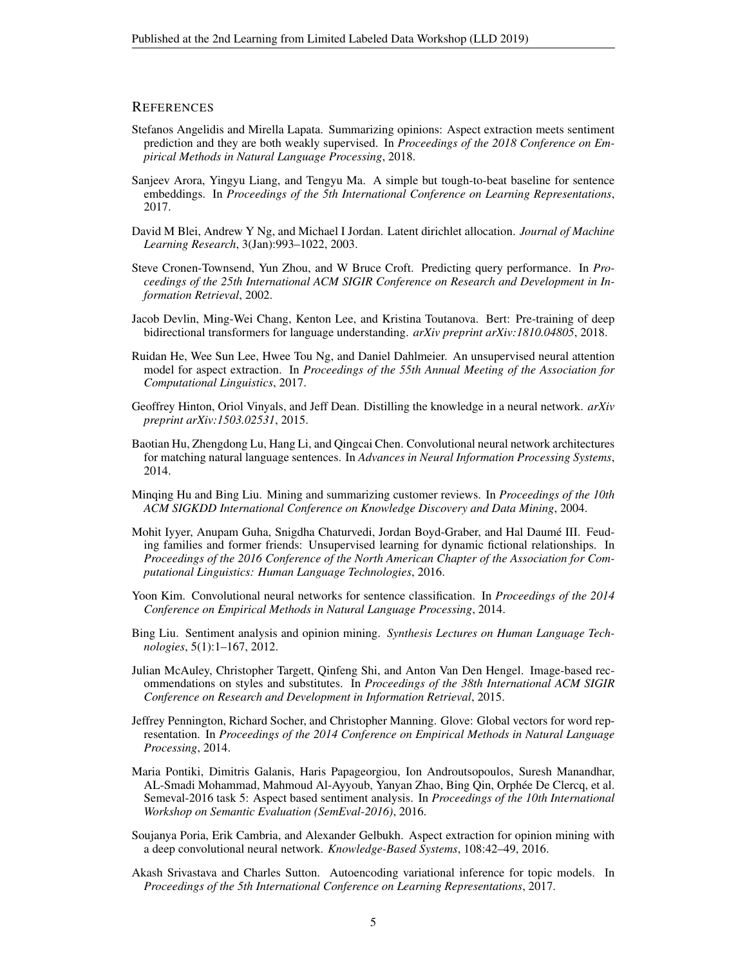#### **REFERENCES**

- <span id="page-4-3"></span>Stefanos Angelidis and Mirella Lapata. Summarizing opinions: Aspect extraction meets sentiment prediction and they are both weakly supervised. In *Proceedings of the 2018 Conference on Empirical Methods in Natural Language Processing*, 2018.
- <span id="page-4-9"></span>Sanjeev Arora, Yingyu Liang, and Tengyu Ma. A simple but tough-to-beat baseline for sentence embeddings. In *Proceedings of the 5th International Conference on Learning Representations*, 2017.
- <span id="page-4-5"></span>David M Blei, Andrew Y Ng, and Michael I Jordan. Latent dirichlet allocation. *Journal of Machine Learning Research*, 3(Jan):993–1022, 2003.
- <span id="page-4-14"></span>Steve Cronen-Townsend, Yun Zhou, and W Bruce Croft. Predicting query performance. In *Proceedings of the 25th International ACM SIGIR Conference on Research and Development in Information Retrieval*, 2002.
- <span id="page-4-15"></span>Jacob Devlin, Ming-Wei Chang, Kenton Lee, and Kristina Toutanova. Bert: Pre-training of deep bidirectional transformers for language understanding. *arXiv preprint arXiv:1810.04805*, 2018.
- <span id="page-4-7"></span>Ruidan He, Wee Sun Lee, Hwee Tou Ng, and Daniel Dahlmeier. An unsupervised neural attention model for aspect extraction. In *Proceedings of the 55th Annual Meeting of the Association for Computational Linguistics*, 2017.
- <span id="page-4-12"></span>Geoffrey Hinton, Oriol Vinyals, and Jeff Dean. Distilling the knowledge in a neural network. *arXiv preprint arXiv:1503.02531*, 2015.
- <span id="page-4-11"></span>Baotian Hu, Zhengdong Lu, Hang Li, and Qingcai Chen. Convolutional neural network architectures for matching natural language sentences. In *Advances in Neural Information Processing Systems*, 2014.
- <span id="page-4-1"></span>Minqing Hu and Bing Liu. Mining and summarizing customer reviews. In *Proceedings of the 10th ACM SIGKDD International Conference on Knowledge Discovery and Data Mining*, 2004.
- <span id="page-4-6"></span>Mohit Iyyer, Anupam Guha, Snigdha Chaturvedi, Jordan Boyd-Graber, and Hal Daume III. Feud- ´ ing families and former friends: Unsupervised learning for dynamic fictional relationships. In *Proceedings of the 2016 Conference of the North American Chapter of the Association for Computational Linguistics: Human Language Technologies*, 2016.
- <span id="page-4-10"></span>Yoon Kim. Convolutional neural networks for sentence classification. In *Proceedings of the 2014 Conference on Empirical Methods in Natural Language Processing*, 2014.
- <span id="page-4-0"></span>Bing Liu. Sentiment analysis and opinion mining. *Synthesis Lectures on Human Language Technologies*, 5(1):1–167, 2012.
- <span id="page-4-16"></span>Julian McAuley, Christopher Targett, Qinfeng Shi, and Anton Van Den Hengel. Image-based recommendations on styles and substitutes. In *Proceedings of the 38th International ACM SIGIR Conference on Research and Development in Information Retrieval*, 2015.
- <span id="page-4-13"></span>Jeffrey Pennington, Richard Socher, and Christopher Manning. Glove: Global vectors for word representation. In *Proceedings of the 2014 Conference on Empirical Methods in Natural Language Processing*, 2014.
- <span id="page-4-2"></span>Maria Pontiki, Dimitris Galanis, Haris Papageorgiou, Ion Androutsopoulos, Suresh Manandhar, AL-Smadi Mohammad, Mahmoud Al-Ayyoub, Yanyan Zhao, Bing Qin, Orphee De Clercq, et al. ´ Semeval-2016 task 5: Aspect based sentiment analysis. In *Proceedings of the 10th International Workshop on Semantic Evaluation (SemEval-2016)*, 2016.
- <span id="page-4-4"></span>Soujanya Poria, Erik Cambria, and Alexander Gelbukh. Aspect extraction for opinion mining with a deep convolutional neural network. *Knowledge-Based Systems*, 108:42–49, 2016.
- <span id="page-4-8"></span>Akash Srivastava and Charles Sutton. Autoencoding variational inference for topic models. In *Proceedings of the 5th International Conference on Learning Representations*, 2017.